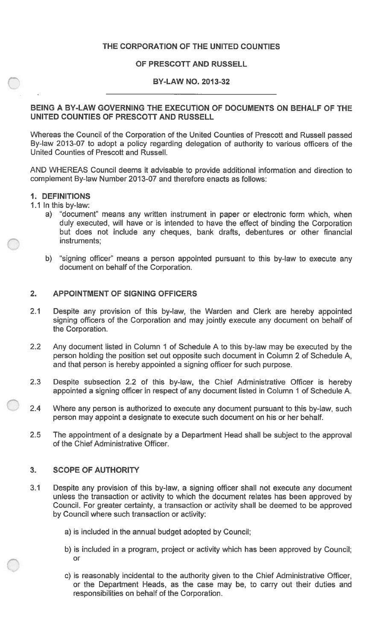## **THE CORPORATION OF THE UNITED COUNTIES**

## **OF PRESCOTT AND RUSSELL**

## **BY-LAW NO. 2013-32**

## **BEING A BY-LAW GOVERNING THE EXECUTION OF DOCUMENTS ON BEHALF OF THE UNITED COUNTIES OF PRESCOTT AND RUSSELL**

Whereas the Council of the Corporation of the United Counties of Prescott and Russell passed By-law 2013-07 to adopt a policy regarding delegation of authority to various officers of the United Counties of Prescott and Russell.

AND WHEREAS Council deems it advisable to provide additional information and direction to complement By-law Number 2013-07 and therefore enacts as follows:

#### **1 . DEFINITIONS**

1.1 In this by-law:

- a) "document" means any written instrument in paper or electronic form which, when duly executed, will have or is intended to have the effect of binding the Corporation but does not include any cheques, bank drafts, debentures or other financial instruments;
- b) "signing officer" means a person appointed pursuant to this by-law to execute any document on behalf of the Corporation.

#### **2. APPOINTMENT OF SIGNING OFFICERS**

- 2.1 Despite any provision of this by-law, the Warden and Clerk are hereby appointed signing officers of the Corporation and may jointly execute any document on behalf of the Corporation.
- 2.2 Any document listed in Column 1 of Schedule A to this by-law may be executed by the person holding the position set out opposite such document in Column 2 of Schedule A, and that person is hereby appointed a signing officer for such purpose.
- 2.3 Despite subsection 2.2 of this by-law, the Chief Administrative Officer is hereby appointed a signing officer in respect of any document listed in Column 1 of Schedule A.
- 2.4 Where any person is authorized to execute any document pursuant to this by-law, such person may appoint a designate to execute such document on his or her behalf.
- 2.5 The appointment of a designate by a Department Head shall be subject to the approval of the Chief Administrative Officer.

## **3. SCOPE OF AUTHORITY**

- 3.1 Despite any provision of this by-law, a signing officer shall not execute any document unless the transaction or activity to which the document relates has been approved by Council. For greater certainty, a transaction or activity shall be deemed to be approved by Council where such transaction or activity:
	- a) is included in the annual budget adopted by Council;
	- b) is included in a program, project or activity which has been approved by Council; or
	- c) is reasonably incidental to the authority given to the Chief Administrative Officer, or the Department Heads, as the case may be, to carry out their duties and responsibilities on behalf of the Corporation.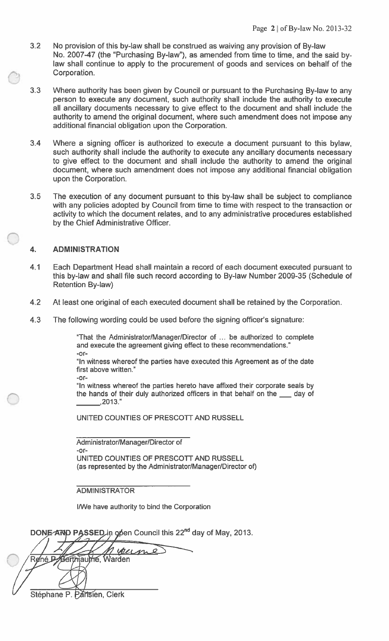- 3.2 No provision of this by-law shall be construed as waiving any provision of By-law No. 2007-47 (the "Purchasing By-law"), as amended from time to time, and the said bylaw shall continue to apply to the procurement of goods and services on behalf of the Corporation.
- 3.3 Where authority has been given by Council or pursuant to the Purchasing By-law to any person to execute any document, such authority shall include the authority to execute all ancillary documents necessary to give effect to the document and shall include the authority to amend the original document, where such amendment does not impose any additional financial obligation upon the Corporation.
- 3.4 Where a signing officer is authorized to execute a document pursuant to this bylaw, such authority shall include the authority to execute any ancillary documents necessary to give effect to the document and shall include the authority to amend the original document, where such amendment does not impose any additional financial obligation upon the Corporation.
- 3.5 The execution of any document pursuant to this by-law shall be subject to compliance with any policies adopted by Council from time to time with respect to the transaction or activity to which the document relates, and to any administrative procedures established by the Chief Administrative Officer.

# 4. **ADMINISTRATION**

- 4.1 Each Department Head shall maintain a record of each document executed pursuant to this by-law and shall file such record according to By-law Number 2009-35 (Schedule of Retention By-law)
- 4.2 At least one original of each executed document shall be retained by the Corporation.
- 4.3 The following wording could be used before the signing officer's signature:

"That the Administrator/Manager/Director of ... be authorized to complete and execute the agreement giving effect to these recommendations."  $-$ or $-$ 

"In witness whereof the parties have executed this Agreement as of the date first above written."

 $-0r -$ 

"In witness whereof the parties hereto have affixed their corporate seals by the hands of their duly authorized officers in that behalf on the  $\_\_\_$  day of 2013."

UNITED COUNTIES OF PRESCOTT AND RUSSELL

Administrator/Manager/Director of -or-UNITED COUNTIES OF PRESCOTT AND RUSSELL (as represented by the Administrator/Manager/Director of)

## **ADMINISTRATOR**

I/We have authority to bind the Corporation

DONE AND PASSED in open Council this 22<sup>nd</sup> day of May, 2013.

Wern Berthiaume, Warden Re⁄né R

Stéphane P. Partsien, Clerk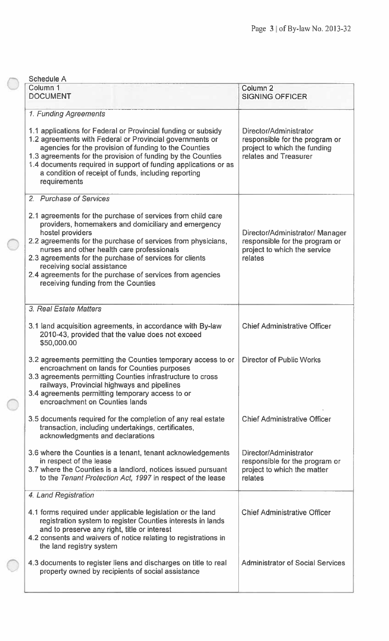| <b>Schedule A</b>                                                                                                                                                                                                                                                                                                                                                                                                                                                             |                                                                                                                   |
|-------------------------------------------------------------------------------------------------------------------------------------------------------------------------------------------------------------------------------------------------------------------------------------------------------------------------------------------------------------------------------------------------------------------------------------------------------------------------------|-------------------------------------------------------------------------------------------------------------------|
| Column <sub>1</sub><br><b>DOCUMENT</b>                                                                                                                                                                                                                                                                                                                                                                                                                                        | Column <sub>2</sub><br><b>SIGNING OFFICER</b>                                                                     |
| 1. Funding Agreements<br>1.1 applications for Federal or Provincial funding or subsidy<br>1.2 agreements with Federal or Provincial governments or<br>agencies for the provision of funding to the Counties<br>1.3 agreements for the provision of funding by the Counties<br>1.4 documents required in support of funding applications or as<br>a condition of receipt of funds, including reporting<br>requirements                                                         | Director/Administrator<br>responsible for the program or<br>project to which the funding<br>relates and Treasurer |
| 2. Purchase of Services<br>2.1 agreements for the purchase of services from child care<br>providers, homemakers and domiciliary and emergency<br>hostel providers<br>2.2 agreements for the purchase of services from physicians,<br>nurses and other health care professionals<br>2.3 agreements for the purchase of services for clients<br>receiving social assistance<br>2.4 agreements for the purchase of services from agencies<br>receiving funding from the Counties | Director/Administrator/ Manager<br>responsible for the program or<br>project to which the service<br>relates      |
| 3. Real Estate Matters<br>3.1 land acquisition agreements, in accordance with By-law<br>2010-43, provided that the value does not exceed<br>\$50,000.00                                                                                                                                                                                                                                                                                                                       | <b>Chief Administrative Officer</b>                                                                               |
| 3.2 agreements permitting the Counties temporary access to or   Director of Public Works<br>encroachment on lands for Counties purposes<br>3.3 agreements permitting Counties infrastructure to cross<br>railways, Provincial highways and pipelines<br>3.4 agreements permitting temporary access to or<br>encroachment on Counties lands                                                                                                                                    |                                                                                                                   |
| 3.5 documents required for the completion of any real estate<br>transaction, including undertakings, certificates,<br>acknowledgments and declarations                                                                                                                                                                                                                                                                                                                        | <b>Chief Administrative Officer</b>                                                                               |
| 3.6 where the Counties is a tenant, tenant acknowledgements<br>in respect of the lease<br>3.7 where the Counties is a landlord, notices issued pursuant<br>to the Tenant Protection Act, 1997 in respect of the lease                                                                                                                                                                                                                                                         | Director/Administrator<br>responsible for the program or<br>project to which the matter<br>relates                |
| 4. Land Registration                                                                                                                                                                                                                                                                                                                                                                                                                                                          |                                                                                                                   |
| 4.1 forms required under applicable legislation or the land<br>registration system to register Counties interests in lands<br>and to preserve any right, title or interest<br>4.2 consents and waivers of notice relating to registrations in<br>the land registry system                                                                                                                                                                                                     | <b>Chief Administrative Officer</b>                                                                               |
| 4.3 documents to register liens and discharges on title to real<br>property owned by recipients of social assistance                                                                                                                                                                                                                                                                                                                                                          | <b>Administrator of Social Services</b>                                                                           |